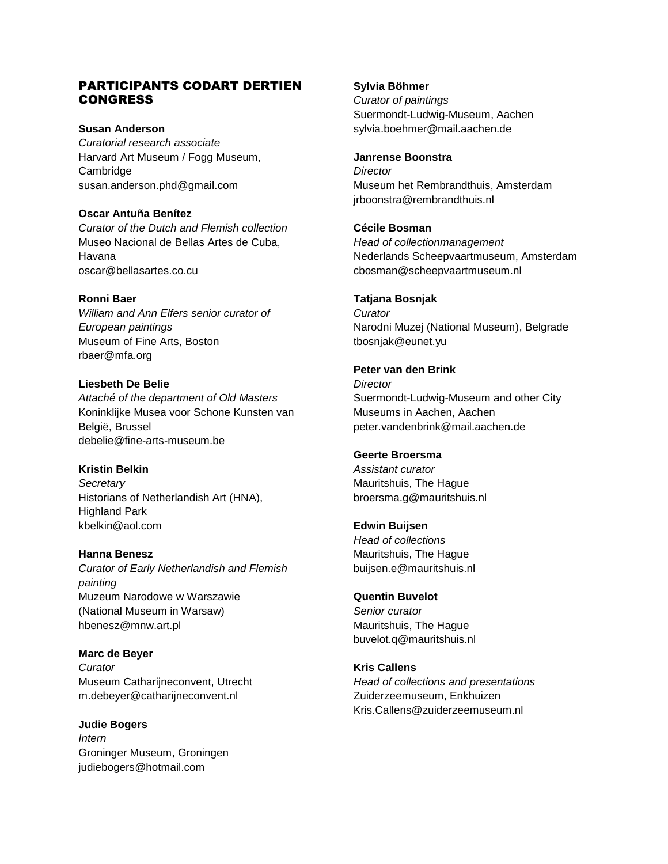## PARTICIPANTS CODART DERTIEN CONGRESS

### **Susan Anderson**

*Curatorial research associate* Harvard Art Museum / Fogg Museum, Cambridge susan.anderson.phd@gmail.com

### **Oscar Antuña Benítez**

*Curator of the Dutch and Flemish collection* Museo Nacional de Bellas Artes de Cuba, Havana oscar@bellasartes.co.cu

### **Ronni Baer**

*William and Ann Elfers senior curator of European paintings* Museum of Fine Arts, Boston rbaer@mfa.org

**Liesbeth De Belie** *Attaché of the department of Old Masters*  Koninklijke Musea voor Schone Kunsten van België, Brussel debelie@fine-arts-museum.be

# **Kristin Belkin** *Secretary* Historians of Netherlandish Art (HNA),

Highland Park kbelkin@aol.com

## **Hanna Benesz**

*Curator of Early Netherlandish and Flemish painting* Muzeum Narodowe w Warszawie (National Museum in Warsaw) hbenesz@mnw.art.pl

**Marc de Beyer** *Curator* Museum Catharijneconvent, Utrecht m.debeyer@catharijneconvent.nl

**Judie Bogers** *Intern* Groninger Museum, Groningen judiebogers@hotmail.com

### **Sylvia Böhmer**

*Curator of paintings* Suermondt-Ludwig-Museum, Aachen sylvia.boehmer@mail.aachen.de

### **Janrense Boonstra**

*Director* Museum het Rembrandthuis, Amsterdam jrboonstra@rembrandthuis.nl

### **Cécile Bosman**

*Head of collectionmanagement* Nederlands Scheepvaartmuseum, Amsterdam cbosman@scheepvaartmuseum.nl

### **Tatjana Bosnjak**

*Curator*  Narodni Muzej (National Museum), Belgrade tbosnjak@eunet.yu

### **Peter van den Brink**

*Director* Suermondt-Ludwig-Museum and other City Museums in Aachen, Aachen peter.vandenbrink@mail.aachen.de

### **Geerte Broersma**

*Assistant curator* Mauritshuis, The Hague broersma.g@mauritshuis.nl

#### **Edwin Buijsen**

*Head of collections* Mauritshuis, The Hague buijsen.e@mauritshuis.nl

## **Quentin Buvelot**

*Senior curator*  Mauritshuis, The Hague buvelot.q@mauritshuis.nl

### **Kris Callens**

*Head of collections and presentations* Zuiderzeemuseum, Enkhuizen Kris.Callens@zuiderzeemuseum.nl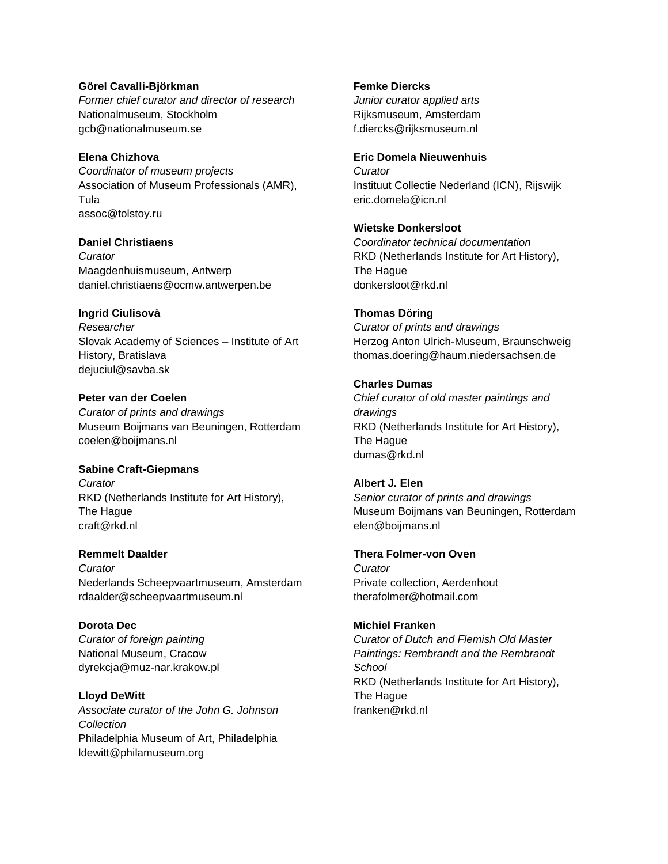### **Görel Cavalli-Björkman**

*Former chief curator and director of research* Nationalmuseum, Stockholm gcb@nationalmuseum.se

### **Elena Chizhova**

*Coordinator of museum projects* Association of Museum Professionals (AMR), Tula assoc@tolstoy.ru

### **Daniel Christiaens**

*Curator*  Maagdenhuismuseum, Antwerp daniel.christiaens@ocmw.antwerpen.be

### **Ingrid Ciulisovà**

*Researcher* Slovak Academy of Sciences – Institute of Art History, Bratislava dejuciul@savba.sk

### **Peter van der Coelen**

*Curator of prints and drawings* Museum Boijmans van Beuningen, Rotterdam coelen@boijmans.nl

### **Sabine Craft-Giepmans**

*Curator* RKD (Netherlands Institute for Art History), The Hague craft@rkd.nl

### **Remmelt Daalder**

*Curator*  Nederlands Scheepvaartmuseum, Amsterdam rdaalder@scheepvaartmuseum.nl

### **Dorota Dec**

*Curator of foreign painting* National Museum, Cracow dyrekcja@muz-nar.krakow.pl

### **Lloyd DeWitt**

*Associate curator of the John G. Johnson Collection* Philadelphia Museum of Art, Philadelphia ldewitt@philamuseum.org

### **Femke Diercks**

*Junior curator applied arts* Rijksmuseum, Amsterdam f.diercks@rijksmuseum.nl

### **Eric Domela Nieuwenhuis**

*Curator* Instituut Collectie Nederland (ICN), Rijswijk eric.domela@icn.nl

### **Wietske Donkersloot**

*Coordinator technical documentation* RKD (Netherlands Institute for Art History), The Hague donkersloot@rkd.nl

### **Thomas Döring**

*Curator of prints and drawings* Herzog Anton Ulrich-Museum, Braunschweig thomas.doering@haum.niedersachsen.de

### **Charles Dumas**

*Chief curator of old master paintings and drawings* RKD (Netherlands Institute for Art History), The Hague dumas@rkd.nl

#### **Albert J. Elen**

*Senior curator of prints and drawings* Museum Boijmans van Beuningen, Rotterdam elen@boijmans.nl

### **Thera Folmer-von Oven**

*Curator* Private collection, Aerdenhout therafolmer@hotmail.com

### **Michiel Franken**

*Curator of Dutch and Flemish Old Master Paintings: Rembrandt and the Rembrandt School* RKD (Netherlands Institute for Art History), The Hague franken@rkd.nl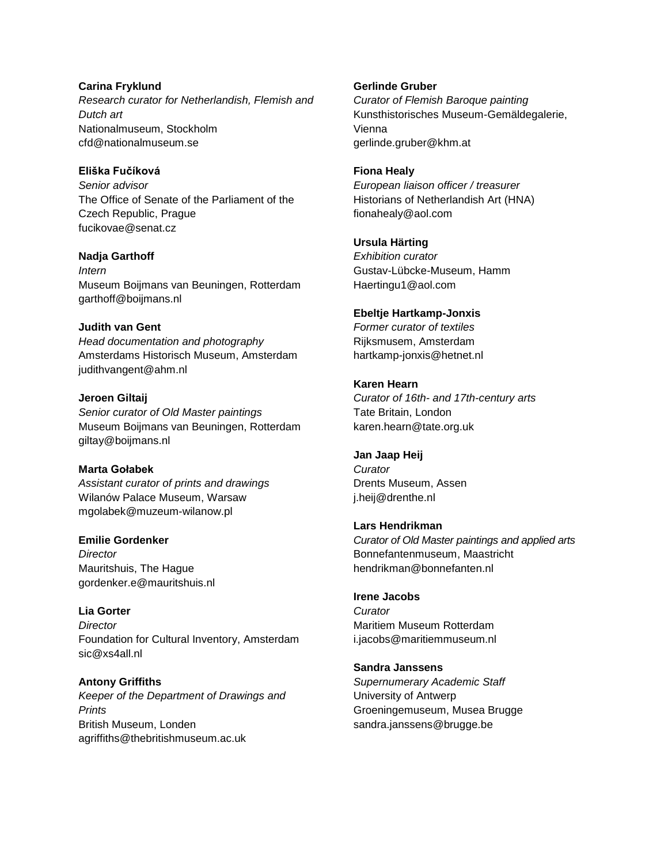**Carina Fryklund** *Research curator for Netherlandish, Flemish and Dutch art* Nationalmuseum, Stockholm cfd@nationalmuseum.se

### **Eliška Fučíková**

*Senior advisor* The Office of Senate of the Parliament of the Czech Republic, Prague fucikovae@senat.cz

#### **Nadja Garthoff**

*Intern* Museum Boijmans van Beuningen, Rotterdam garthoff@boijmans.nl

### **Judith van Gent**

*[Head documentation and photography](http://www.codart.nl/office/datamanagement/institutions/institutions.php?id=366)*  Amsterdams Historisch Museum, Amsterdam judithvangent@ahm.nl

**Jeroen Giltaij** *Senior curator of Old Master paintings* Museum Boijmans van Beuningen, Rotterdam giltay@boijmans.nl

#### **Marta Gołabek**

*Assistant curator of prints and drawings* Wilanów Palace Museum, Warsaw mgolabek@muzeum-wilanow.pl

## **Emilie Gordenker**

*Director* Mauritshuis, The Hague gordenker.e@mauritshuis.nl

**Lia Gorter** *Director* Foundation for Cultural Inventory, Amsterdam sic@xs4all.nl

**Antony Griffiths** *Keeper of the Department of Drawings and Prints* British Museum, Londen agriffiths@thebritishmuseum.ac.uk

### **Gerlinde Gruber**

*Curator of Flemish Baroque painting* Kunsthistorisches Museum-Gemäldegalerie, Vienna gerlinde.gruber@khm.at

#### **Fiona Healy**

*European liaison officer / treasurer* Historians of Netherlandish Art (HNA) fionahealy@aol.com

### **Ursula Härting**

*Exhibition curator* Gustav-Lübcke-Museum, Hamm Haertingu1@aol.com

### **Ebeltje Hartkamp-Jonxis**

*Former curator of textiles* Rijksmusem, Amsterdam hartkamp-jonxis@hetnet.nl

### **Karen Hearn**

*Curator of 16th- and 17th-century arts* Tate Britain, London karen.hearn@tate.org.uk

### **Jan Jaap Heij**

*Curator*  Drents Museum, Assen j.heij@drenthe.nl

#### **Lars Hendrikman**

*Curator of Old Master paintings and applied arts* Bonnefantenmuseum, Maastricht hendrikman@bonnefanten.nl

### **Irene Jacobs**

*Curator* Maritiem Museum Rotterdam i.jacobs@maritiemmuseum.nl

#### **Sandra Janssens**

*Supernumerary Academic Staff* University of Antwerp Groeningemuseum, Musea Brugge sandra.janssens@brugge.be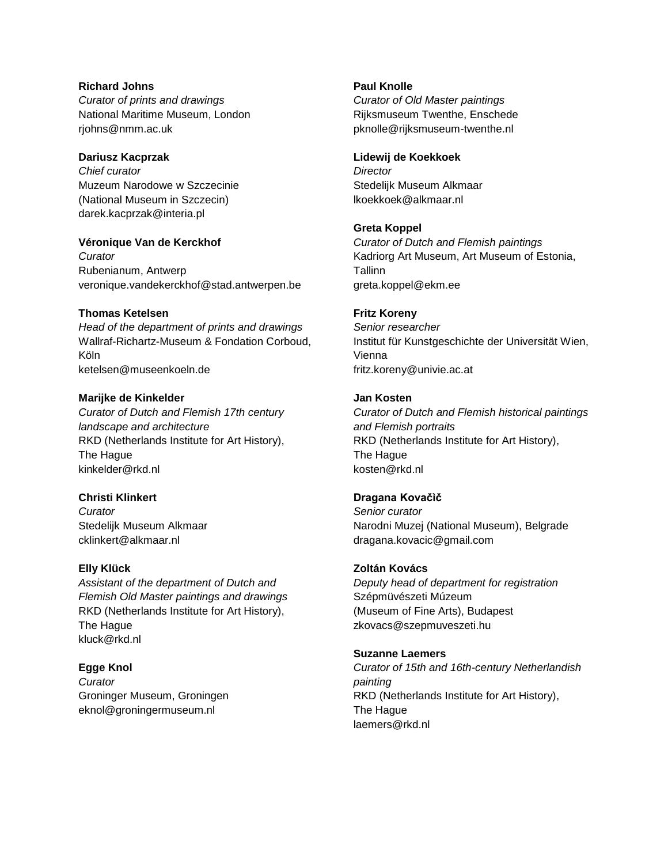## **Richard Johns**

*Curator of prints and drawings* National Maritime Museum, London rjohns@nmm.ac.uk

## **Dariusz Kacprzak**

*Chief curator* Muzeum Narodowe w Szczecinie (National Museum in Szczecin) darek.kacprzak@interia.pl

## **Véronique Van de Kerckhof**

*Curator* Rubenianum, Antwerp veronique.vandekerckhof@stad.antwerpen.be

## **Thomas Ketelsen**

*Head of the department of prints and drawings* Wallraf-Richartz-Museum & Fondation Corboud, Köln ketelsen@museenkoeln.de

## **Marijke de Kinkelder**

*Curator of Dutch and Flemish 17th century landscape and architecture*  RKD (Netherlands Institute for Art History), The Hague kinkelder@rkd.nl

## **Christi Klinkert**

*Curator* Stedelijk Museum Alkmaar cklinkert@alkmaar.nl

## **Elly Klück**

*Assistant of the department of Dutch and Flemish Old Master paintings and drawings* RKD (Netherlands Institute for Art History), The Hague kluck@rkd.nl

## **Egge Knol**

*Curator* Groninger Museum, Groningen eknol@groningermuseum.nl

## **Paul Knolle**

*Curator of Old Master paintings* Rijksmuseum Twenthe, Enschede pknolle@rijksmuseum-twenthe.nl

## **Lidewij de Koekkoek**

*Director* Stedelijk Museum Alkmaar lkoekkoek@alkmaar.nl

## **Greta Koppel**

*Curator of Dutch and Flemish paintings* Kadriorg Art Museum, Art Museum of Estonia, Tallinn greta.koppel@ekm.ee

## **Fritz Koreny**

*Senior researcher*  Institut für Kunstgeschichte der Universität Wien, Vienna fritz.koreny@univie.ac.at

### **Jan Kosten**

*Curator of Dutch and Flemish historical paintings and Flemish portraits* RKD (Netherlands Institute for Art History), The Hague kosten@rkd.nl

## **Dragana Kovačìč**

*Senior curator*  Narodni Muzej (National Museum), Belgrade dragana.kovacic@gmail.com

## **Zoltán Kovács**

*Deputy head of department for registration* Szépmüvészeti Múzeum (Museum of Fine Arts), Budapest zkovacs@szepmuveszeti.hu

## **Suzanne Laemers**

*Curator of 15th and 16th-century Netherlandish painting* RKD (Netherlands Institute for Art History), The Hague laemers@rkd.nl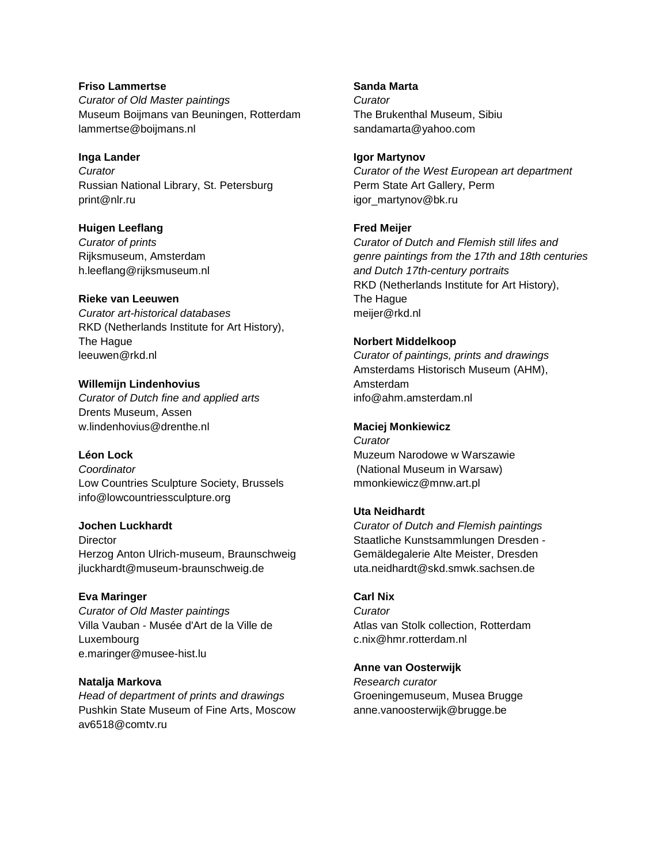## **Friso Lammertse** *Curator of Old Master paintings* Museum Boijmans van Beuningen, Rotterdam lammertse@boijmans.nl

### **Inga Lander**

*Curator*  Russian National Library, St. Petersburg print@nlr.ru

### **Huigen Leeflang**

*Curator of prints* Rijksmuseum, Amsterdam h.leeflang@rijksmuseum.nl

### **Rieke van Leeuwen**

*Curator art-historical databases* RKD (Netherlands Institute for Art History), The Hague leeuwen@rkd.nl

## **Willemijn Lindenhovius**

*Curator of Dutch fine and applied arts* Drents Museum, Assen w.lindenhovius@drenthe.nl

## **Léon Lock**

*Coordinator* Low Countries Sculpture Society, Brussels info@lowcountriessculpture.org

## **Jochen Luckhardt**

**Director** Herzog Anton Ulrich-museum, Braunschweig jluckhardt@museum-braunschweig.de

## **Eva Maringer**

*[Curator of Old Master paintings](http://www.codart.nl/office/datamanagement/institutions/institutions.php?id=362)* Villa Vauban - Musée d'Art de la Ville de Luxembourg e.maringer@musee-hist.lu

## **Natalja Markova**

*Head of department of prints and drawings* Pushkin State Museum of Fine Arts, Moscow av6518@comtv.ru

### **Sanda Marta**

*Curator* The Brukenthal Museum, Sibiu sandamarta@yahoo.com

### **Igor Martynov**

*Curator of the West European art department* Perm State Art Gallery, Perm igor\_martynov@bk.ru

## **Fred Meijer**

*Curator of Dutch and Flemish still lifes and genre paintings from the 17th and 18th centuries and Dutch 17th-century portraits*  RKD (Netherlands Institute for Art History), The Hague meijer@rkd.nl

## **Norbert Middelkoop**

*[Curator of paintings, prints and drawings](http://www.codart.nl/office/datamanagement/institutions/institutions.php?id=366)* Amsterdams Historisch Museum (AHM), Amsterdam info@ahm.amsterdam.nl

## **Maciej Monkiewicz**

*Curator* Muzeum Narodowe w Warszawie (National Museum in Warsaw) mmonkiewicz@mnw.art.pl

## **Uta Neidhardt**

*Curator of Dutch and Flemish paintings* Staatliche Kunstsammlungen Dresden - Gemäldegalerie Alte Meister, Dresden uta.neidhardt@skd.smwk.sachsen.de

## **Carl Nix**

*Curator* Atlas van Stolk collection, Rotterdam c.nix@hmr.rotterdam.nl

### **Anne van Oosterwijk**

*Research curator* Groeningemuseum, Musea Brugge anne.vanoosterwijk@brugge.be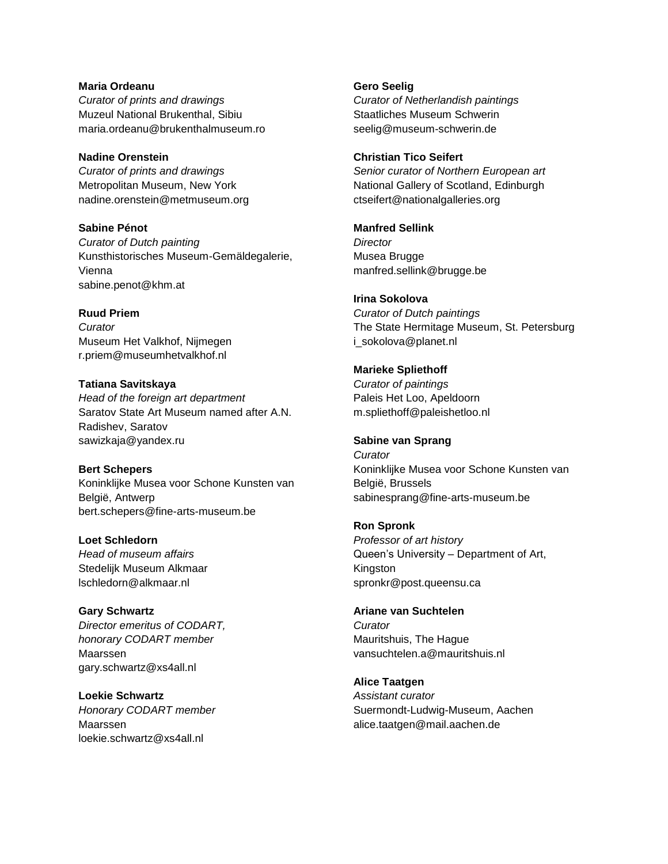**Maria Ordeanu** *Curator of prints and drawings* Muzeul National Brukenthal, Sibiu maria.ordeanu@brukenthalmuseum.ro

**Nadine Orenstein** *Curator of prints and drawings* Metropolitan Museum, New York nadine.orenstein@metmuseum.org

**Sabine Pénot** *Curator of Dutch painting* Kunsthistorisches Museum-Gemäldegalerie, Vienna sabine.penot@khm.at

**Ruud Priem** *Curator* Museum Het Valkhof, Nijmegen r.priem@museumhetvalkhof.nl

**Tatiana Savitskaya** *Head of the foreign art department* Saratov State Art Museum named after A.N. Radishev, Saratov sawizkaja@yandex.ru

**Bert Schepers** Koninklijke Musea voor Schone Kunsten van België, Antwerp bert.schepers@fine-arts-museum.be

**Loet Schledorn** *Head of museum affairs* Stedelijk Museum Alkmaar lschledorn@alkmaar.nl

**Gary Schwartz** *Director emeritus of CODART, honorary CODART member* Maarssen gary.schwartz@xs4all.nl

**Loekie Schwartz** *Honorary CODART member* Maarssen loekie.schwartz@xs4all.nl

**Gero Seelig** *Curator of Netherlandish paintings* Staatliches Museum Schwerin seelig@museum-schwerin.de

**Christian Tico Seifert** *Senior curator of Northern European art* National Gallery of Scotland, Edinburgh ctseifert@nationalgalleries.org

**Manfred Sellink** *Director* Musea Brugge manfred.sellink@brugge.be

**Irina Sokolova** *Curator of Dutch paintings* The State Hermitage Museum, St. Petersburg i\_sokolova@planet.nl

**Marieke Spliethoff** *Curator of paintings*  Paleis Het Loo, Apeldoorn m.spliethoff@paleishetloo.nl

**Sabine van Sprang** *Curator* Koninklijke Musea voor Schone Kunsten van België, Brussels sabinesprang@fine-arts-museum.be

**Ron Spronk** *Professor of art history* Queen's University – Department of Art, Kingston spronkr@post.queensu.ca

**Ariane van Suchtelen** *Curator* Mauritshuis, The Hague vansuchtelen.a@mauritshuis.nl

**Alice Taatgen** *Assistant curator* Suermondt-Ludwig-Museum, Aachen alice.taatgen@mail.aachen.de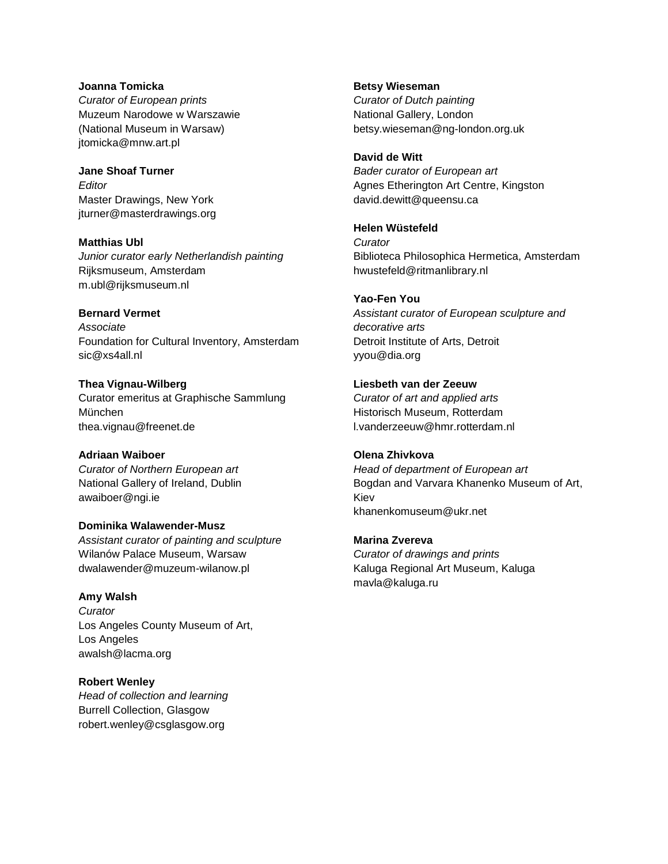## **Joanna Tomicka** *Curator of European prints*  Muzeum Narodowe w Warszawie (National Museum in Warsaw) jtomicka@mnw.art.pl

**Jane Shoaf Turner** *Editor* Master Drawings, New York jturner@masterdrawings.org

**Matthias Ubl** *Junior curator early Netherlandish painting* Rijksmuseum, Amsterdam m.ubl@rijksmuseum.nl

## **Bernard Vermet**

*Associate* Foundation for Cultural Inventory, Amsterdam sic@xs4all.nl

**Thea Vignau-Wilberg** Curator emeritus at Graphische Sammlung München thea.vignau@freenet.de

**Adriaan Waiboer** *Curator of Northern European art* National Gallery of Ireland, Dublin awaiboer@ngi.ie

**Dominika Walawender-Musz** *Assistant curator of painting and sculpture* Wilanów Palace Museum, Warsaw dwalawender@muzeum-wilanow.pl

**Amy Walsh** *Curator*  Los Angeles County Museum of Art, Los Angeles awalsh@lacma.org

**Robert Wenley** *Head of collection and learning* Burrell Collection, Glasgow robert.wenley@csglasgow.org

**Betsy Wieseman** *Curator of Dutch painting* National Gallery, London betsy.wieseman@ng-london.org.uk

**David de Witt** *Bader curator of European art* Agnes Etherington Art Centre, Kingston david.dewitt@queensu.ca

### **Helen Wüstefeld**

*Curator* Biblioteca Philosophica Hermetica, Amsterdam hwustefeld@ritmanlibrary.nl

### **Yao-Fen You**

*Assistant curator of European sculpture and decorative arts* Detroit Institute of Arts, Detroit yyou@dia.org

### **Liesbeth van der Zeeuw**

*Curator of art and applied arts* Historisch Museum, Rotterdam l.vanderzeeuw@hmr.rotterdam.nl

## **Olena Zhivkova**

*Head of department of European art* Bogdan and Varvara Khanenko Museum of Art, Kiev khanenkomuseum@ukr.net

## **Marina Zvereva**

*Curator of drawings and prints* Kaluga Regional Art Museum, Kaluga mavla@kaluga.ru